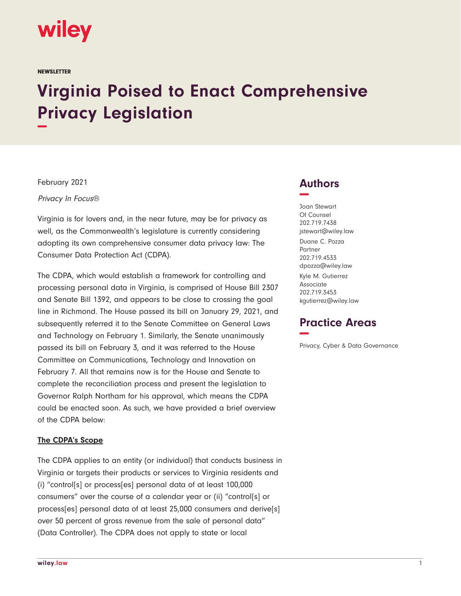

**NEWSLETTER** 

# **Virginia Poised to Enact Comprehensive Privacy Legislation −**

February 2021

Privacy In Focus®

Virginia is for lovers and, in the near future, may be for privacy as well, as the Commonwealth's legislature is currently considering adopting its own comprehensive consumer data privacy law: The Consumer Data Protection Act (CDPA).

The CDPA, which would establish a framework for controlling and processing personal data in Virginia, is comprised of House Bill 2307 and Senate Bill 1392, and appears to be close to crossing the goal line in Richmond. The House passed its bill on January 29, 2021, and subsequently referred it to the Senate Committee on General Laws and Technology on February 1. Similarly, the Senate unanimously passed its bill on February 3, and it was referred to the House Committee on Communications, Technology and Innovation on February 7. All that remains now is for the House and Senate to complete the reconciliation process and present the legislation to Governor Ralph Northam for his approval, which means the CDPA could be enacted soon. As such, we have provided a brief overview of the CDPA below:

#### **The CDPA's Scope**

The CDPA applies to an entity (or individual) that conducts business in Virginia or targets their products or services to Virginia residents and (i) "control[s] or process[es] personal data of at least 100,000 consumers" over the course of a calendar year or (ii) "control[s] or process[es] personal data of at least 25,000 consumers and derive[s] over 50 percent of gross revenue from the sale of personal data" (Data Controller). The CDPA does not apply to state or local

## **Authors −**

Joan Stewart Of Counsel 202.719.7438 jstewart@wiley.law Duane C. Pozza **Partner** 202.719.4533 dpozza@wiley.law Kyle M. Gutierrez Associate 202.719.3453 kgutierrez@wiley.law

## **Practice Areas −**

Privacy, Cyber & Data Governance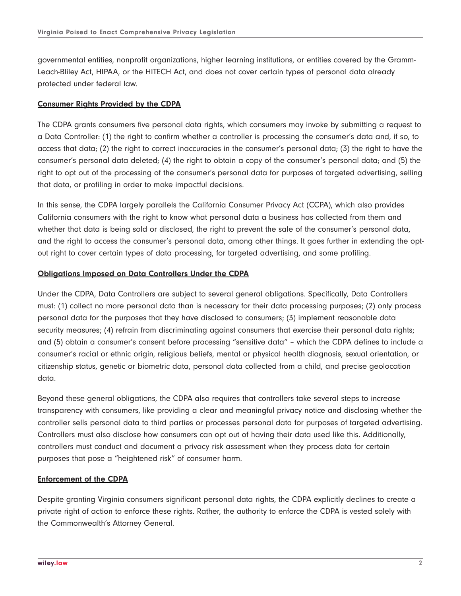governmental entities, nonprofit organizations, higher learning institutions, or entities covered by the Gramm-Leach-Bliley Act, HIPAA, or the HITECH Act, and does not cover certain types of personal data already protected under federal law.

#### **Consumer Rights Provided by the CDPA**

The CDPA grants consumers five personal data rights, which consumers may invoke by submitting a request to a Data Controller: (1) the right to confirm whether a controller is processing the consumer's data and, if so, to access that data; (2) the right to correct inaccuracies in the consumer's personal data; (3) the right to have the consumer's personal data deleted; (4) the right to obtain a copy of the consumer's personal data; and (5) the right to opt out of the processing of the consumer's personal data for purposes of targeted advertising, selling that data, or profiling in order to make impactful decisions.

In this sense, the CDPA largely parallels the California Consumer Privacy Act (CCPA), which also provides California consumers with the right to know what personal data a business has collected from them and whether that data is being sold or disclosed, the right to prevent the sale of the consumer's personal data, and the right to access the consumer's personal data, among other things. It goes further in extending the optout right to cover certain types of data processing, for targeted advertising, and some profiling.

#### **Obligations Imposed on Data Controllers Under the CDPA**

Under the CDPA, Data Controllers are subject to several general obligations. Specifically, Data Controllers must: (1) collect no more personal data than is necessary for their data processing purposes; (2) only process personal data for the purposes that they have disclosed to consumers; (3) implement reasonable data security measures; (4) refrain from discriminating against consumers that exercise their personal data rights; and (5) obtain a consumer's consent before processing "sensitive data" – which the CDPA defines to include a consumer's racial or ethnic origin, religious beliefs, mental or physical health diagnosis, sexual orientation, or citizenship status, genetic or biometric data, personal data collected from a child, and precise geolocation data.

Beyond these general obligations, the CDPA also requires that controllers take several steps to increase transparency with consumers, like providing a clear and meaningful privacy notice and disclosing whether the controller sells personal data to third parties or processes personal data for purposes of targeted advertising. Controllers must also disclose how consumers can opt out of having their data used like this. Additionally, controllers must conduct and document a privacy risk assessment when they process data for certain purposes that pose a "heightened risk" of consumer harm.

#### **Enforcement of the CDPA**

Despite granting Virginia consumers significant personal data rights, the CDPA explicitly declines to create a private right of action to enforce these rights. Rather, the authority to enforce the CDPA is vested solely with the Commonwealth's Attorney General.